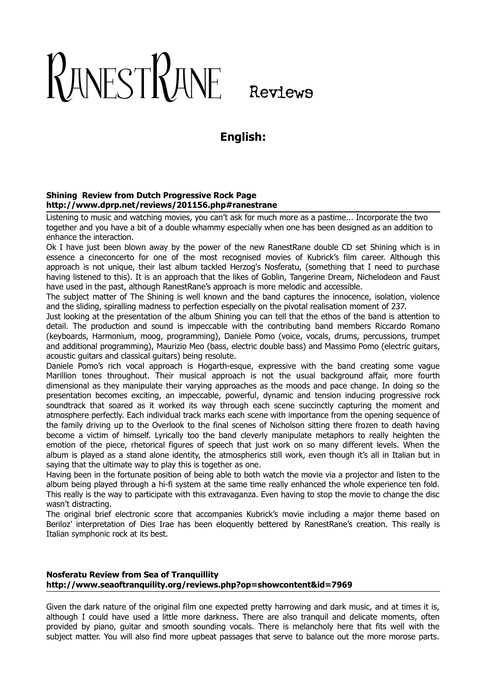# RANESTRANE Reviews

# **English:**

### **Shining Review from Dutch Progressive Rock Page http://www.dprp.net/reviews/201156.php#ranestrane**

Listening to music and watching movies, you can't ask for much more as a pastime... Incorporate the two together and you have a bit of a double whammy especially when one has been designed as an addition to enhance the interaction.

Ok I have just been blown away by the power of the new RanestRane double CD set Shining which is in essence a cineconcerto for one of the most recognised movies of Kubrick's film career. Although this approach is not unique, their last album tackled Herzog's Nosferatu, (something that I need to purchase having listened to this). It is an approach that the likes of Goblin, Tangerine Dream, Nichelodeon and Faust have used in the past, although RanestRane's approach is more melodic and accessible.

The subject matter of The Shining is well known and the band captures the innocence, isolation, violence and the sliding, spiralling madness to perfection especially on the pivotal realisation moment of 237.

Just looking at the presentation of the album Shining you can tell that the ethos of the band is attention to detail. The production and sound is impeccable with the contributing band members Riccardo Romano (keyboards, Harmonium, moog, programming), Daniele Pomo (voice, vocals, drums, percussions, trumpet and additional programming), Maurizio Meo (bass, electric double bass) and Massimo Pomo (electric guitars, acoustic guitars and classical guitars) being resolute.

Daniele Pomo's rich vocal approach is Hogarth-esque, expressive with the band creating some vague Marillion tones throughout. Their musical approach is not the usual background affair, more fourth dimensional as they manipulate their varying approaches as the moods and pace change. In doing so the presentation becomes exciting, an impeccable, powerful, dynamic and tension inducing progressive rock soundtrack that soared as it worked its way through each scene succinctly capturing the moment and atmosphere perfectly. Each individual track marks each scene with importance from the opening sequence of the family driving up to the Overlook to the final scenes of Nicholson sitting there frozen to death having become a victim of himself. Lyrically too the band cleverly manipulate metaphors to really heighten the emotion of the piece, rhetorical figures of speech that just work on so many different levels. When the album is played as a stand alone identity, the atmospherics still work, even though it's all in Italian but in saying that the ultimate way to play this is together as one.

Having been in the fortunate position of being able to both watch the movie via a projector and listen to the album being played through a hi-fi system at the same time really enhanced the whole experience ten fold. This really is the way to participate with this extravaganza. Even having to stop the movie to change the disc wasn't distracting.

The original brief electronic score that accompanies Kubrick's movie including a major theme based on Beriloz' interpretation of Dies Irae has been eloquently bettered by RanestRane's creation. This really is Italian symphonic rock at its best.

### **Nosferatu Review from Sea of Tranquillity http://www.seaoftranquility.org/reviews.php?op=showcontent&id=7969**

Given the dark nature of the original film one expected pretty harrowing and dark music, and at times it is, although I could have used a little more darkness. There are also tranquil and delicate moments, often provided by piano, guitar and smooth sounding vocals. There is melancholy here that fits well with the subject matter. You will also find more upbeat passages that serve to balance out the more morose parts.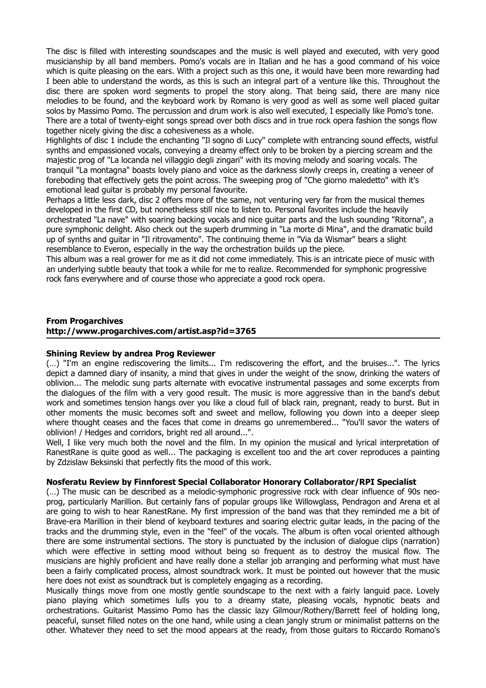The disc is filled with interesting soundscapes and the music is well played and executed, with very good musicianship by all band members. Pomo's vocals are in Italian and he has a good command of his voice which is quite pleasing on the ears. With a project such as this one, it would have been more rewarding had I been able to understand the words, as this is such an integral part of a venture like this. Throughout the disc there are spoken word segments to propel the story along. That being said, there are many nice melodies to be found, and the keyboard work by Romano is very good as well as some well placed guitar solos by Massimo Pomo. The percussion and drum work is also well executed, I especially like Pomo's tone. There are a total of twenty-eight songs spread over both discs and in true rock opera fashion the songs flow together nicely giving the disc a cohesiveness as a whole.

Highlights of disc 1 include the enchanting "Il sogno di Lucy" complete with entrancing sound effects, wistful synths and empassioned vocals, conveying a dreamy effect only to be broken by a piercing scream and the majestic prog of "La locanda nel villaggio degli zingari" with its moving melody and soaring vocals. The tranquil "La montagna" boasts lovely piano and voice as the darkness slowly creeps in, creating a veneer of foreboding that effectively gets the point across. The sweeping prog of "Che giorno maledetto" with it's emotional lead guitar is probably my personal favourite.

Perhaps a little less dark, disc 2 offers more of the same, not venturing very far from the musical themes developed in the first CD, but nonetheless still nice to listen to. Personal favorites include the heavily orchestrated "La nave" with soaring backing vocals and nice guitar parts and the lush sounding "Ritorna", a pure symphonic delight. Also check out the superb drumming in "La morte di Mina", and the dramatic build up of synths and guitar in "Il ritrovamento". The continuing theme in "Via da Wismar" bears a slight resemblance to Everon, especially in the way the orchestration builds up the piece.

This album was a real grower for me as it did not come immediately. This is an intricate piece of music with an underlying subtle beauty that took a while for me to realize. Recommended for symphonic progressive rock fans everywhere and of course those who appreciate a good rock opera.

### **From Progarchives http://www.progarchives.com/artist.asp?id=3765**

### **Shining Review by andrea Prog Reviewer**

(…) "I'm an engine rediscovering the limits... I'm rediscovering the effort, and the bruises...". The lyrics depict a damned diary of insanity, a mind that gives in under the weight of the snow, drinking the waters of oblivion... The melodic sung parts alternate with evocative instrumental passages and some excerpts from the dialogues of the film with a very good result. The music is more aggressive than in the band's debut work and sometimes tension hangs over you like a cloud full of black rain, pregnant, ready to burst. But in other moments the music becomes soft and sweet and mellow, following you down into a deeper sleep where thought ceases and the faces that come in dreams go unremembered... "You'll savor the waters of oblivion! / Hedges and corridors, bright red all around...".

Well, I like very much both the novel and the film. In my opinion the musical and lyrical interpretation of RanestRane is quite good as well... The packaging is excellent too and the art cover reproduces a painting by Zdzislaw Beksinski that perfectly fits the mood of this work.

### **Nosferatu Review by Finnforest Special Collaborator Honorary Collaborator/RPI Specialist**

(…) The music can be described as a melodic-symphonic progressive rock with clear influence of 90s neoprog, particularly Marillion. But certainly fans of popular groups like Willowglass, Pendragon and Arena et al are going to wish to hear RanestRane. My first impression of the band was that they reminded me a bit of Brave-era Marillion in their blend of keyboard textures and soaring electric guitar leads, in the pacing of the tracks and the drumming style, even in the "feel" of the vocals. The album is often vocal oriented although there are some instrumental sections. The story is punctuated by the inclusion of dialogue clips (narration) which were effective in setting mood without being so frequent as to destroy the musical flow. The musicians are highly proficient and have really done a stellar job arranging and performing what must have been a fairly complicated process, almost soundtrack work. It must be pointed out however that the music here does not exist as soundtrack but is completely engaging as a recording.

Musically things move from one mostly gentle soundscape to the next with a fairly languid pace. Lovely piano playing which sometimes lulls you to a dreamy state, pleasing vocals, hypnotic beats and orchestrations. Guitarist Massimo Pomo has the classic lazy Gilmour/Rothery/Barrett feel of holding long, peaceful, sunset filled notes on the one hand, while using a clean jangly strum or minimalist patterns on the other. Whatever they need to set the mood appears at the ready, from those guitars to Riccardo Romano's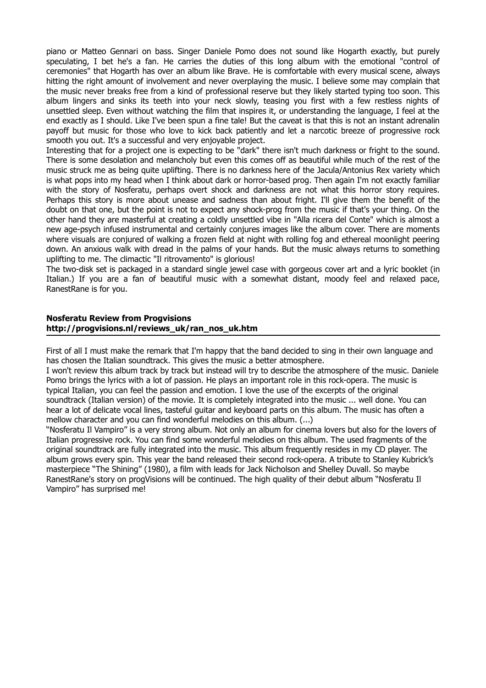piano or Matteo Gennari on bass. Singer Daniele Pomo does not sound like Hogarth exactly, but purely speculating, I bet he's a fan. He carries the duties of this long album with the emotional "control of ceremonies" that Hogarth has over an album like Brave. He is comfortable with every musical scene, always hitting the right amount of involvement and never overplaying the music. I believe some may complain that the music never breaks free from a kind of professional reserve but they likely started typing too soon. This album lingers and sinks its teeth into your neck slowly, teasing you first with a few restless nights of unsettled sleep. Even without watching the film that inspires it, or understanding the language, I feel at the end exactly as I should. Like I've been spun a fine tale! But the caveat is that this is not an instant adrenalin payoff but music for those who love to kick back patiently and let a narcotic breeze of progressive rock smooth you out. It's a successful and very enjoyable project.

Interesting that for a project one is expecting to be "dark" there isn't much darkness or fright to the sound. There is some desolation and melancholy but even this comes off as beautiful while much of the rest of the music struck me as being quite uplifting. There is no darkness here of the Jacula/Antonius Rex variety which is what pops into my head when I think about dark or horror-based prog. Then again I'm not exactly familiar with the story of Nosferatu, perhaps overt shock and darkness are not what this horror story requires. Perhaps this story is more about unease and sadness than about fright. I'll give them the benefit of the doubt on that one, but the point is not to expect any shock-prog from the music if that's your thing. On the other hand they are masterful at creating a coldly unsettled vibe in "Alla ricera del Conte" which is almost a new age-psych infused instrumental and certainly conjures images like the album cover. There are moments where visuals are conjured of walking a frozen field at night with rolling fog and ethereal moonlight peering down. An anxious walk with dread in the palms of your hands. But the music always returns to something uplifting to me. The climactic "Il ritrovamento" is glorious!

The two-disk set is packaged in a standard single jewel case with gorgeous cover art and a lyric booklet (in Italian.) If you are a fan of beautiful music with a somewhat distant, moody feel and relaxed pace, RanestRane is for you.

### **Nosferatu Review from Progvisions http://progvisions.nl/reviews\_uk/ran\_nos\_uk.htm**

First of all I must make the remark that I'm happy that the band decided to sing in their own language and has chosen the Italian soundtrack. This gives the music a better atmosphere.

I won't review this album track by track but instead will try to describe the atmosphere of the music. Daniele Pomo brings the lyrics with a lot of passion. He plays an important role in this rock-opera. The music is typical Italian, you can feel the passion and emotion. I love the use of the excerpts of the original soundtrack (Italian version) of the movie. It is completely integrated into the music ... well done. You can hear a lot of delicate vocal lines, tasteful guitar and keyboard parts on this album. The music has often a mellow character and you can find wonderful melodies on this album. (...)

"Nosferatu Il Vampiro" is a very strong album. Not only an album for cinema lovers but also for the lovers of Italian progressive rock. You can find some wonderful melodies on this album. The used fragments of the original soundtrack are fully integrated into the music. This album frequently resides in my CD player. The album grows every spin. This year the band released their second rock-opera. A tribute to Stanley Kubrick's masterpiece "The Shining" (1980), a film with leads for Jack Nicholson and Shelley Duvall. So maybe RanestRane's story on progVisions will be continued. The high quality of their debut album "Nosferatu Il Vampiro" has surprised me!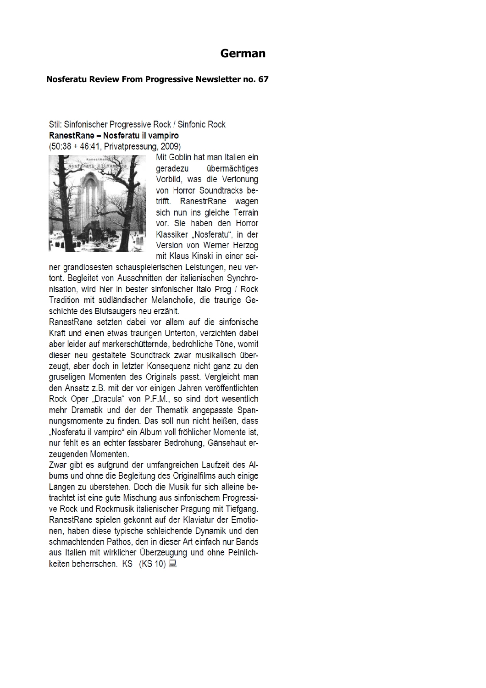## **German**

### **Nosferatu Review From Progressive Newsletter no. 67**

### Stil: Sinfonischer Progressive Rock / Sinfonic Rock RanestRane - Nosferatu il vampiro (50:38 + 46:41, Privatpressung, 2009)



Mit Goblin hat man Italien ein deradezu übermächtiges Vorbild, was die Vertonung von Horror Soundtracks betrifft. RanestrRane wagen sich nun ins gleiche Terrain vor. Sie haben den Horror Klassiker "Nosferatu", in der Version von Werner Herzog mit Klaus Kinski in einer sei-

ner grandiosesten schauspielerischen Leistungen, neu vertont. Begleitet von Ausschnitten der italienischen Synchronisation, wird hier in bester sinfonischer Italo Prog / Rock Tradition mit südländischer Melancholie, die traurige Geschichte des Blutsaugers neu erzählt.

RanestRane setzten dabei vor allem auf die sinfonische Kraft und einen etwas traurigen Unterton, verzichten dabei aber leider auf markerschütternde, bedrohliche Töne, womit dieser neu gestaltete Soundtrack zwar musikalisch überzeugt, aber doch in letzter Konsequenz nicht ganz zu den gruseligen Momenten des Originals passt. Vergleicht man den Ansatz z.B. mit der vor einigen Jahren veröffentlichten Rock Oper "Dracula" von P.F.M., so sind dort wesentlich mehr Dramatik und der der Thematik angepasste Spannungsmomente zu finden. Das soll nun nicht heißen, dass "Nosferatu il vampiro" ein Album voll fröhlicher Momente ist, nur fehlt es an echter fassbarer Bedrohung, Gänsehaut erzeugenden Momenten.

Zwar gibt es aufgrund der umfangreichen Laufzeit des Albums und ohne die Begleitung des Originalfilms auch einige Längen zu überstehen. Doch die Musik für sich alleine betrachtet ist eine gute Mischung aus sinfonischem Progressive Rock und Rockmusik italienischer Prägung mit Tiefgang. RanestRane spielen gekonnt auf der Klaviatur der Emotionen, haben diese typische schleichende Dynamik und den schmachtenden Pathos, den in dieser Art einfach nur Bands aus Italien mit wirklicher Überzeugung und ohne Peinlichkeiten beherrschen. KS (KS 10) 二